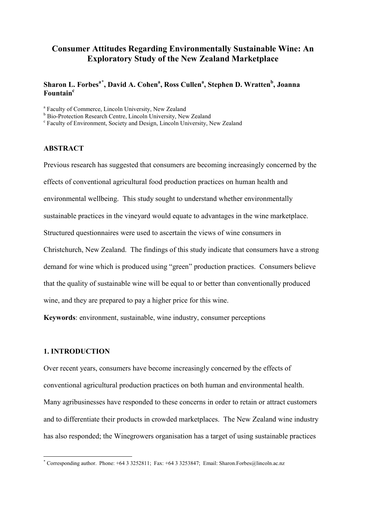# **Consumer Attitudes Regarding Environmentally Sustainable Wine: An Exploratory Study of the New Zealand Marketplace**

### $\beta$ **Sharon L. Forbes<sup>a[\\*](#page-0-0)</sup>, David A. Cohen<sup>a</sup>, Ross Cullen<sup>a</sup>, Stephen D. Wratten<sup>b</sup>, Joanna Fountain<sup>c</sup>**

<sup>a</sup> Faculty of Commerce, Lincoln University, New Zealand <sup>b</sup> Bio-Protection Research Centre, Lincoln University, New Zealand

 $\textdegree$  Faculty of Environment, Society and Design, Lincoln University, New Zealand

### **ABSTRACT**

Previous research has suggested that consumers are becoming increasingly concerned by the effects of conventional agricultural food production practices on human health and environmental wellbeing. This study sought to understand whether environmentally sustainable practices in the vineyard would equate to advantages in the wine marketplace. Structured questionnaires were used to ascertain the views of wine consumers in Christchurch, New Zealand. The findings of this study indicate that consumers have a strong demand for wine which is produced using "green" production practices. Consumers believe that the quality of sustainable wine will be equal to or better than conventionally produced wine, and they are prepared to pay a higher price for this wine.

**Keywords**: environment, sustainable, wine industry, consumer perceptions

### **1. INTRODUCTION**

-

Over recent years, consumers have become increasingly concerned by the effects of conventional agricultural production practices on both human and environmental health. Many agribusinesses have responded to these concerns in order to retain or attract customers and to differentiate their products in crowded marketplaces. The New Zealand wine industry has also responded; the Winegrowers organisation has a target of using sustainable practices

<span id="page-0-0"></span><sup>\*</sup> Corresponding author. Phone: +64 3 3252811; Fax: +64 3 3253847; Email: Sharon.Forbes@lincoln.ac.nz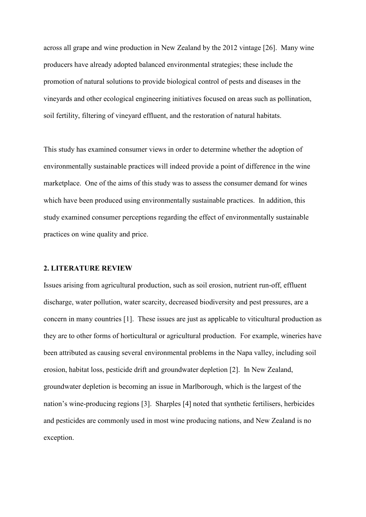across all grape and wine production in New Zealand by the 2012 vintage [26]. Many wine producers have already adopted balanced environmental strategies; these include the promotion of natural solutions to provide biological control of pests and diseases in the vineyards and other ecological engineering initiatives focused on areas such as pollination, soil fertility, filtering of vineyard effluent, and the restoration of natural habitats.

This study has examined consumer views in order to determine whether the adoption of environmentally sustainable practices will indeed provide a point of difference in the wine marketplace. One of the aims of this study was to assess the consumer demand for wines which have been produced using environmentally sustainable practices. In addition, this study examined consumer perceptions regarding the effect of environmentally sustainable practices on wine quality and price.

### **2. LITERATURE REVIEW**

Issues arising from agricultural production, such as soil erosion, nutrient run-off, effluent discharge, water pollution, water scarcity, decreased biodiversity and pest pressures, are a concern in many countries [1]. These issues are just as applicable to viticultural production as they are to other forms of horticultural or agricultural production. For example, wineries have been attributed as causing several environmental problems in the Napa valley, including soil erosion, habitat loss, pesticide drift and groundwater depletion [2]. In New Zealand, groundwater depletion is becoming an issue in Marlborough, which is the largest of the nation's wine-producing regions [3]. Sharples [4] noted that synthetic fertilisers, herbicides and pesticides are commonly used in most wine producing nations, and New Zealand is no exception.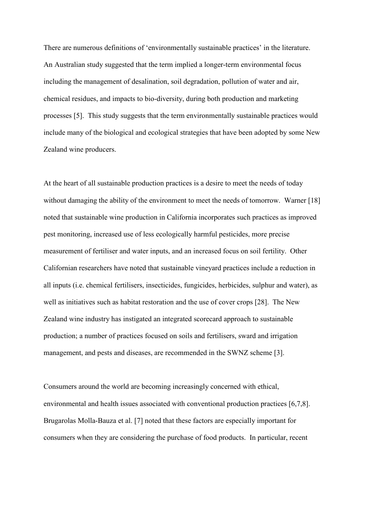There are numerous definitions of 'environmentally sustainable practices' in the literature. An Australian study suggested that the term implied a longer-term environmental focus including the management of desalination, soil degradation, pollution of water and air, chemical residues, and impacts to bio-diversity, during both production and marketing processes [5]. This study suggests that the term environmentally sustainable practices would include many of the biological and ecological strategies that have been adopted by some New Zealand wine producers.

At the heart of all sustainable production practices is a desire to meet the needs of today without damaging the ability of the environment to meet the needs of tomorrow. Warner [18] noted that sustainable wine production in California incorporates such practices as improved pest monitoring, increased use of less ecologically harmful pesticides, more precise measurement of fertiliser and water inputs, and an increased focus on soil fertility. Other Californian researchers have noted that sustainable vineyard practices include a reduction in all inputs (i.e. chemical fertilisers, insecticides, fungicides, herbicides, sulphur and water), as well as initiatives such as habitat restoration and the use of cover crops [28]. The New Zealand wine industry has instigated an integrated scorecard approach to sustainable production; a number of practices focused on soils and fertilisers, sward and irrigation management, and pests and diseases, are recommended in the SWNZ scheme [3].

Consumers around the world are becoming increasingly concerned with ethical, environmental and health issues associated with conventional production practices [6,7,8]. Brugarolas Molla-Bauza et al. [7] noted that these factors are especially important for consumers when they are considering the purchase of food products. In particular, recent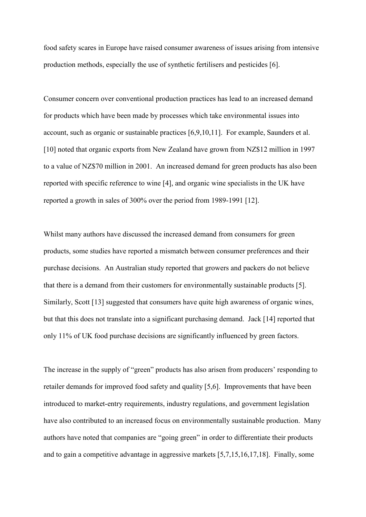food safety scares in Europe have raised consumer awareness of issues arising from intensive production methods, especially the use of synthetic fertilisers and pesticides [6].

Consumer concern over conventional production practices has lead to an increased demand for products which have been made by processes which take environmental issues into account, such as organic or sustainable practices [6,9,10,11]. For example, Saunders et al. [10] noted that organic exports from New Zealand have grown from NZ\$12 million in 1997 to a value of NZ\$70 million in 2001. An increased demand for green products has also been reported with specific reference to wine [4], and organic wine specialists in the UK have reported a growth in sales of 300% over the period from 1989-1991 [12].

Whilst many authors have discussed the increased demand from consumers for green products, some studies have reported a mismatch between consumer preferences and their purchase decisions. An Australian study reported that growers and packers do not believe that there is a demand from their customers for environmentally sustainable products [5]. Similarly, Scott [13] suggested that consumers have quite high awareness of organic wines, but that this does not translate into a significant purchasing demand. Jack [14] reported that only 11% of UK food purchase decisions are significantly influenced by green factors.

The increase in the supply of "green" products has also arisen from producers' responding to retailer demands for improved food safety and quality [5,6]. Improvements that have been introduced to market-entry requirements, industry regulations, and government legislation have also contributed to an increased focus on environmentally sustainable production. Many authors have noted that companies are "going green" in order to differentiate their products and to gain a competitive advantage in aggressive markets [5,7,15,16,17,18]. Finally, some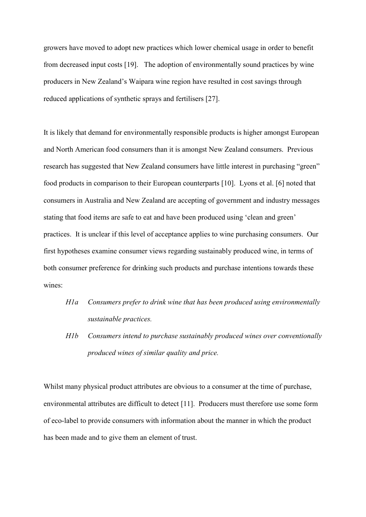growers have moved to adopt new practices which lower chemical usage in order to benefit from decreased input costs [19]. The adoption of environmentally sound practices by wine producers in New Zealand's Waipara wine region have resulted in cost savings through reduced applications of synthetic sprays and fertilisers [27].

It is likely that demand for environmentally responsible products is higher amongst European and North American food consumers than it is amongst New Zealand consumers. Previous research has suggested that New Zealand consumers have little interest in purchasing "green" food products in comparison to their European counterparts [10]. Lyons et al. [6] noted that consumers in Australia and New Zealand are accepting of government and industry messages stating that food items are safe to eat and have been produced using 'clean and green' practices. It is unclear if this level of acceptance applies to wine purchasing consumers. Our first hypotheses examine consumer views regarding sustainably produced wine, in terms of both consumer preference for drinking such products and purchase intentions towards these wines:

- *H1a Consumers prefer to drink wine that has been produced using environmentally sustainable practices.*
- *H1b Consumers intend to purchase sustainably produced wines over conventionally produced wines of similar quality and price.*

Whilst many physical product attributes are obvious to a consumer at the time of purchase, environmental attributes are difficult to detect [11]. Producers must therefore use some form of eco-label to provide consumers with information about the manner in which the product has been made and to give them an element of trust.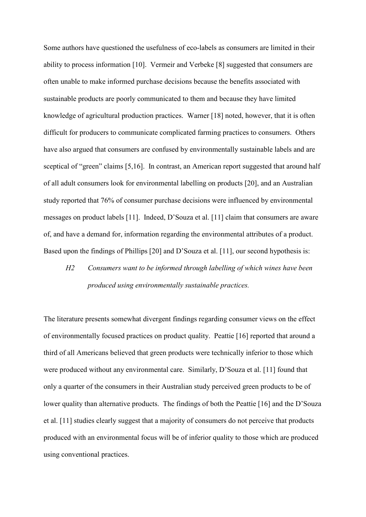Some authors have questioned the usefulness of eco-labels as consumers are limited in their ability to process information [10]. Vermeir and Verbeke [8] suggested that consumers are often unable to make informed purchase decisions because the benefits associated with sustainable products are poorly communicated to them and because they have limited knowledge of agricultural production practices. Warner [18] noted, however, that it is often difficult for producers to communicate complicated farming practices to consumers. Others have also argued that consumers are confused by environmentally sustainable labels and are sceptical of "green" claims [5,16]. In contrast, an American report suggested that around half of all adult consumers look for environmental labelling on products [20], and an Australian study reported that 76% of consumer purchase decisions were influenced by environmental messages on product labels [11]. Indeed, D'Souza et al. [11] claim that consumers are aware of, and have a demand for, information regarding the environmental attributes of a product. Based upon the findings of Phillips [20] and D'Souza et al. [11], our second hypothesis is:

# *H2 Consumers want to be informed through labelling of which wines have been produced using environmentally sustainable practices.*

The literature presents somewhat divergent findings regarding consumer views on the effect of environmentally focused practices on product quality. Peattie [16] reported that around a third of all Americans believed that green products were technically inferior to those which were produced without any environmental care. Similarly, D'Souza et al. [11] found that only a quarter of the consumers in their Australian study perceived green products to be of lower quality than alternative products. The findings of both the Peattie [16] and the D'Souza et al. [11] studies clearly suggest that a majority of consumers do not perceive that products produced with an environmental focus will be of inferior quality to those which are produced using conventional practices.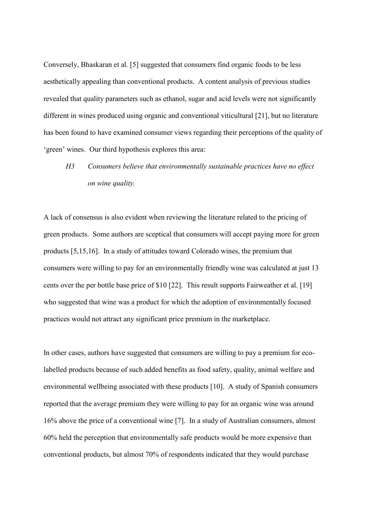Conversely, Bhaskaran et al. [5] suggested that consumers find organic foods to be less aesthetically appealing than conventional products. A content analysis of previous studies revealed that quality parameters such as ethanol, sugar and acid levels were not significantly different in wines produced using organic and conventional viticultural [21], but no literature has been found to have examined consumer views regarding their perceptions of the quality of 'green' wines. Our third hypothesis explores this area:

# *H3 Consumers believe that environmentally sustainable practices have no effect on wine quality.*

A lack of consensus is also evident when reviewing the literature related to the pricing of green products. Some authors are sceptical that consumers will accept paying more for green products [5,15,16]. In a study of attitudes toward Colorado wines, the premium that consumers were willing to pay for an environmentally friendly wine was calculated at just 13 cents over the per bottle base price of \$10 [22]. This result supports Fairweather et al. [19] who suggested that wine was a product for which the adoption of environmentally focused practices would not attract any significant price premium in the marketplace.

In other cases, authors have suggested that consumers are willing to pay a premium for ecolabelled products because of such added benefits as food safety, quality, animal welfare and environmental wellbeing associated with these products [10]. A study of Spanish consumers reported that the average premium they were willing to pay for an organic wine was around 16% above the price of a conventional wine [7]. In a study of Australian consumers, almost 60% held the perception that environmentally safe products would be more expensive than conventional products, but almost 70% of respondents indicated that they would purchase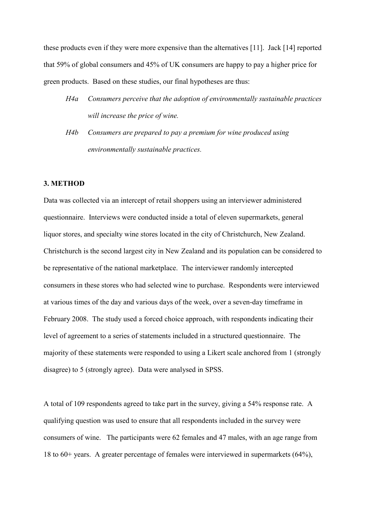these products even if they were more expensive than the alternatives [11]. Jack [14] reported that 59% of global consumers and 45% of UK consumers are happy to pay a higher price for green products. Based on these studies, our final hypotheses are thus:

- *H4a Consumers perceive that the adoption of environmentally sustainable practices will increase the price of wine.*
- *H4b Consumers are prepared to pay a premium for wine produced using environmentally sustainable practices.*

### **3. METHOD**

Data was collected via an intercept of retail shoppers using an interviewer administered questionnaire. Interviews were conducted inside a total of eleven supermarkets, general liquor stores, and specialty wine stores located in the city of Christchurch, New Zealand. Christchurch is the second largest city in New Zealand and its population can be considered to be representative of the national marketplace. The interviewer randomly intercepted consumers in these stores who had selected wine to purchase. Respondents were interviewed at various times of the day and various days of the week, over a seven-day timeframe in February 2008. The study used a forced choice approach, with respondents indicating their level of agreement to a series of statements included in a structured questionnaire. The majority of these statements were responded to using a Likert scale anchored from 1 (strongly disagree) to 5 (strongly agree). Data were analysed in SPSS.

A total of 109 respondents agreed to take part in the survey, giving a 54% response rate. A qualifying question was used to ensure that all respondents included in the survey were consumers of wine. The participants were 62 females and 47 males, with an age range from 18 to 60+ years. A greater percentage of females were interviewed in supermarkets (64%),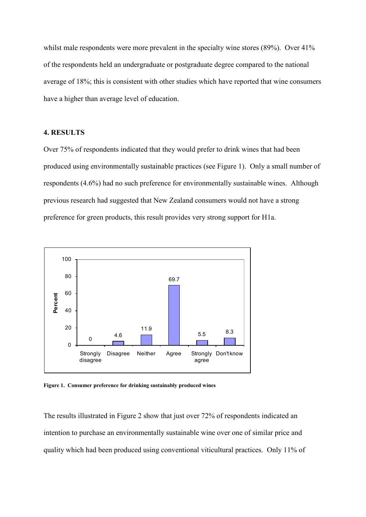whilst male respondents were more prevalent in the specialty wine stores (89%). Over 41% of the respondents held an undergraduate or postgraduate degree compared to the national average of 18%; this is consistent with other studies which have reported that wine consumers have a higher than average level of education.

### **4. RESULTS**

Over 75% of respondents indicated that they would prefer to drink wines that had been produced using environmentally sustainable practices (see Figure 1). Only a small number of respondents (4.6%) had no such preference for environmentally sustainable wines. Although previous research had suggested that New Zealand consumers would not have a strong preference for green products, this result provides very strong support for H1a.



**Figure 1. Consumer preference for drinking sustainably produced wines**

The results illustrated in Figure 2 show that just over 72% of respondents indicated an intention to purchase an environmentally sustainable wine over one of similar price and quality which had been produced using conventional viticultural practices. Only 11% of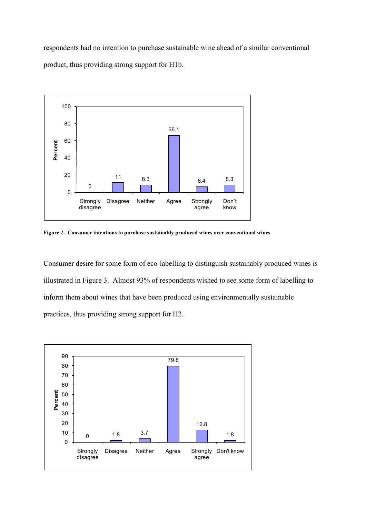respondents had no intention to purchase sustainable wine ahead of a similar conventional product, thus providing strong support for H1b.



**Figure 2. Consumer intentions to purchase sustainably produced wines over conventional wines**

Consumer desire for some form of eco-labelling to distinguish sustainably produced wines is illustrated in Figure 3. Almost 93% of respondents wished to see some form of labelling to inform them about wines that have been produced using environmentally sustainable practices, thus providing strong support for H2.

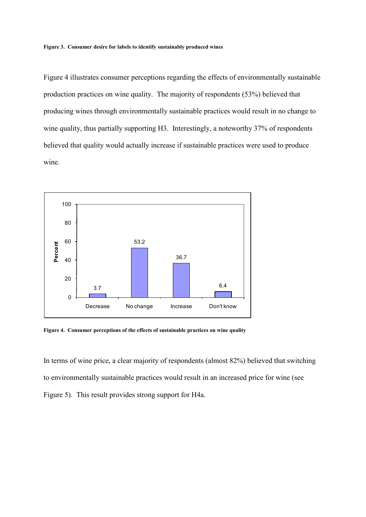Figure 4 illustrates consumer perceptions regarding the effects of environmentally sustainable production practices on wine quality. The majority of respondents (53%) believed that producing wines through environmentally sustainable practices would result in no change to wine quality, thus partially supporting H3. Interestingly, a noteworthy 37% of respondents believed that quality would actually increase if sustainable practices were used to produce wine.



**Figure 4. Consumer perceptions of the effects of sustainable practices on wine quality**

In terms of wine price, a clear majority of respondents (almost 82%) believed that switching to environmentally sustainable practices would result in an increased price for wine (see Figure 5). This result provides strong support for H4a.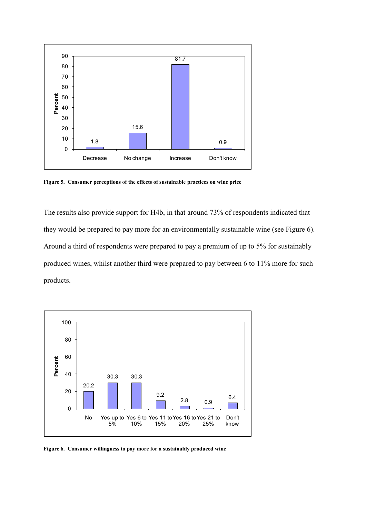

**Figure 5. Consumer perceptions of the effects of sustainable practices on wine price** 

The results also provide support for H4b, in that around 73% of respondents indicated that they would be prepared to pay more for an environmentally sustainable wine (see Figure 6). Around a third of respondents were prepared to pay a premium of up to 5% for sustainably produced wines, whilst another third were prepared to pay between 6 to 11% more for such products.

![](_page_11_Figure_3.jpeg)

**Figure 6. Consumer willingness to pay more for a sustainably produced wine**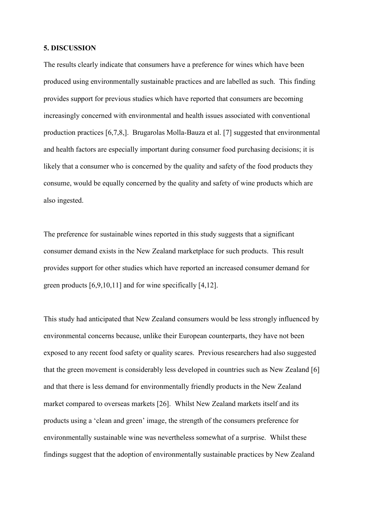### **5. DISCUSSION**

The results clearly indicate that consumers have a preference for wines which have been produced using environmentally sustainable practices and are labelled as such. This finding provides support for previous studies which have reported that consumers are becoming increasingly concerned with environmental and health issues associated with conventional production practices [6,7,8,]. Brugarolas Molla-Bauza et al. [7] suggested that environmental and health factors are especially important during consumer food purchasing decisions; it is likely that a consumer who is concerned by the quality and safety of the food products they consume, would be equally concerned by the quality and safety of wine products which are also ingested.

The preference for sustainable wines reported in this study suggests that a significant consumer demand exists in the New Zealand marketplace for such products. This result provides support for other studies which have reported an increased consumer demand for green products [6,9,10,11] and for wine specifically [4,12].

This study had anticipated that New Zealand consumers would be less strongly influenced by environmental concerns because, unlike their European counterparts, they have not been exposed to any recent food safety or quality scares. Previous researchers had also suggested that the green movement is considerably less developed in countries such as New Zealand [6] and that there is less demand for environmentally friendly products in the New Zealand market compared to overseas markets [26]. Whilst New Zealand markets itself and its products using a 'clean and green' image, the strength of the consumers preference for environmentally sustainable wine was nevertheless somewhat of a surprise. Whilst these findings suggest that the adoption of environmentally sustainable practices by New Zealand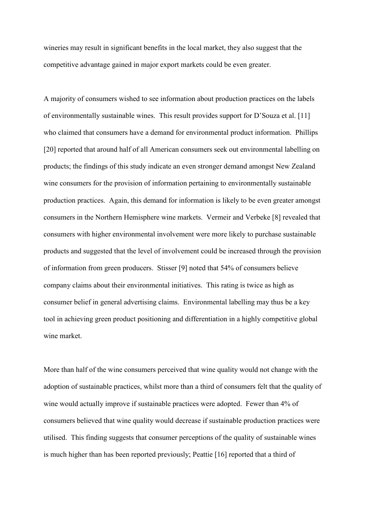wineries may result in significant benefits in the local market, they also suggest that the competitive advantage gained in major export markets could be even greater.

A majority of consumers wished to see information about production practices on the labels of environmentally sustainable wines. This result provides support for D'Souza et al. [11] who claimed that consumers have a demand for environmental product information. Phillips [20] reported that around half of all American consumers seek out environmental labelling on products; the findings of this study indicate an even stronger demand amongst New Zealand wine consumers for the provision of information pertaining to environmentally sustainable production practices. Again, this demand for information is likely to be even greater amongst consumers in the Northern Hemisphere wine markets. Vermeir and Verbeke [8] revealed that consumers with higher environmental involvement were more likely to purchase sustainable products and suggested that the level of involvement could be increased through the provision of information from green producers. Stisser [9] noted that 54% of consumers believe company claims about their environmental initiatives. This rating is twice as high as consumer belief in general advertising claims. Environmental labelling may thus be a key tool in achieving green product positioning and differentiation in a highly competitive global wine market.

More than half of the wine consumers perceived that wine quality would not change with the adoption of sustainable practices, whilst more than a third of consumers felt that the quality of wine would actually improve if sustainable practices were adopted. Fewer than 4% of consumers believed that wine quality would decrease if sustainable production practices were utilised. This finding suggests that consumer perceptions of the quality of sustainable wines is much higher than has been reported previously; Peattie [16] reported that a third of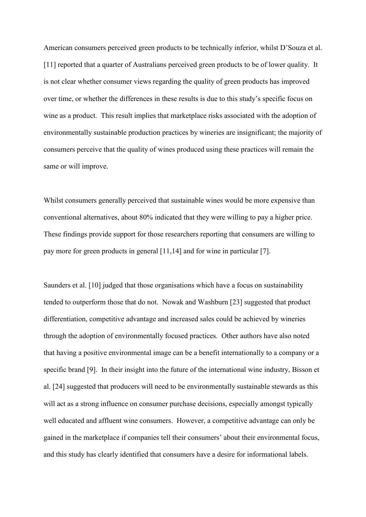American consumers perceived green products to be technically inferior, whilst D'Souza et al. [11] reported that a quarter of Australians perceived green products to be of lower quality. It is not clear whether consumer views regarding the quality of green products has improved over time, or whether the differences in these results is due to this study's specific focus on wine as a product. This result implies that marketplace risks associated with the adoption of environmentally sustainable production practices by wineries are insignificant; the majority of consumers perceive that the quality of wines produced using these practices will remain the same or will improve.

Whilst consumers generally perceived that sustainable wines would be more expensive than conventional alternatives, about 80% indicated that they were willing to pay a higher price. These findings provide support for those researchers reporting that consumers are willing to pay more for green products in general [11,14] and for wine in particular [7].

Saunders et al. [10] judged that those organisations which have a focus on sustainability tended to outperform those that do not. Nowak and Washburn [23] suggested that product differentiation, competitive advantage and increased sales could be achieved by wineries through the adoption of environmentally focused practices. Other authors have also noted that having a positive environmental image can be a benefit internationally to a company or a specific brand [9]. In their insight into the future of the international wine industry, Bisson et al. [24] suggested that producers will need to be environmentally sustainable stewards as this will act as a strong influence on consumer purchase decisions, especially amongst typically well educated and affluent wine consumers. However, a competitive advantage can only be gained in the marketplace if companies tell their consumers' about their environmental focus, and this study has clearly identified that consumers have a desire for informational labels.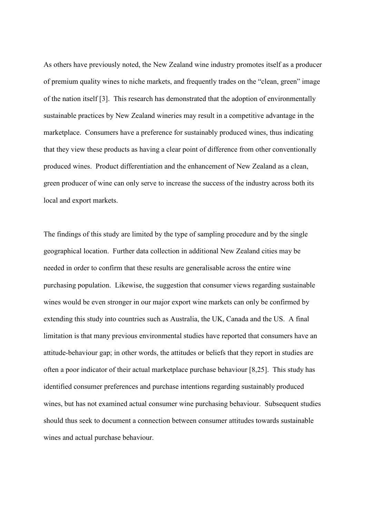As others have previously noted, the New Zealand wine industry promotes itself as a producer of premium quality wines to niche markets, and frequently trades on the "clean, green" image of the nation itself [3]. This research has demonstrated that the adoption of environmentally sustainable practices by New Zealand wineries may result in a competitive advantage in the marketplace. Consumers have a preference for sustainably produced wines, thus indicating that they view these products as having a clear point of difference from other conventionally produced wines. Product differentiation and the enhancement of New Zealand as a clean, green producer of wine can only serve to increase the success of the industry across both its local and export markets.

The findings of this study are limited by the type of sampling procedure and by the single geographical location. Further data collection in additional New Zealand cities may be needed in order to confirm that these results are generalisable across the entire wine purchasing population. Likewise, the suggestion that consumer views regarding sustainable wines would be even stronger in our major export wine markets can only be confirmed by extending this study into countries such as Australia, the UK, Canada and the US. A final limitation is that many previous environmental studies have reported that consumers have an attitude-behaviour gap; in other words, the attitudes or beliefs that they report in studies are often a poor indicator of their actual marketplace purchase behaviour [8,25]. This study has identified consumer preferences and purchase intentions regarding sustainably produced wines, but has not examined actual consumer wine purchasing behaviour. Subsequent studies should thus seek to document a connection between consumer attitudes towards sustainable wines and actual purchase behaviour.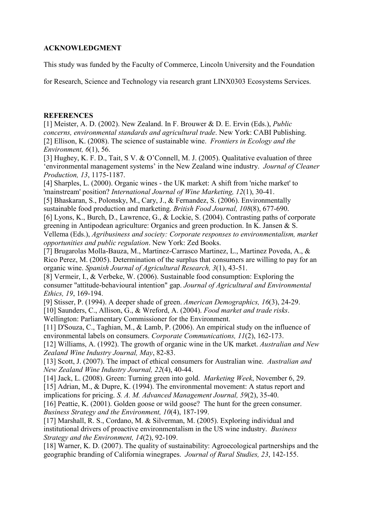## **ACKNOWLEDGMENT**

This study was funded by the Faculty of Commerce, Lincoln University and the Foundation

for Research, Science and Technology via research grant LINX0303 Ecosystems Services.

### **REFERENCES**

[1] Meister, A. D. (2002). New Zealand. In F. Brouwer & D. E. Ervin (Eds.), *Public concerns, environmental standards and agricultural trade*. New York: CABI Publishing. [2] Ellison, K. (2008). The science of sustainable wine. *Frontiers in Ecology and the Environment, 6*(1), 56.

[3] Hughey, K. F. D., Tait, S V. & O'Connell, M. J. (2005). Qualitative evaluation of three 'environmental management systems' in the New Zealand wine industry. *Journal of Cleaner Production, 13*, 1175-1187.

[4] Sharples, L. (2000). Organic wines - the UK market: A shift from 'niche market' to 'mainstream' position? *International Journal of Wine Marketing, 12*(1), 30-41.

[5] Bhaskaran, S., Polonsky, M., Cary, J., & Fernandez, S. (2006). Environmentally sustainable food production and marketing. *British Food Journal, 108*(8), 677-690.

[6] Lyons, K., Burch, D., Lawrence, G., & Lockie, S. (2004). Contrasting paths of corporate greening in Antipodean agriculture: Organics and green production. In K. Jansen & S. Vellema (Eds.), *Agribusiness and society: Corporate responses to environmentalism, market opportunities and public regulation*. New York: Zed Books.

[7] Brugarolas Molla-Bauza, M., Martinez-Carrasco Martinez, L., Martinez Poveda, A., & Rico Perez, M. (2005). Determination of the surplus that consumers are willing to pay for an organic wine. *Spanish Journal of Agricultural Research, 3*(1), 43-51.

[8] Vermeir, I., & Verbeke, W. (2006). Sustainable food consumption: Exploring the consumer "attitude-behavioural intention" gap. *Journal of Agricultural and Environmental Ethics, 19*, 169-194.

[9] Stisser, P. (1994). A deeper shade of green. *American Demographics, 16*(3), 24-29. [10] Saunders, C., Allison, G., & Wreford, A. (2004). *Food market and trade risks*.

Wellington: Parliamentary Commissioner for the Environment.

[11] D'Souza, C., Taghian, M., & Lamb, P. (2006). An empirical study on the influence of environmental labels on consumers. *Corporate Communications, 11*(2), 162-173.

[12] Williams, A. (1992). The growth of organic wine in the UK market. *Australian and New Zealand Wine Industry Journal, May*, 82-83.

[13] Scott, J. (2007). The impact of ethical consumers for Australian wine. *Australian and New Zealand Wine Industry Journal, 22*(4), 40-44.

[14] Jack, L. (2008). Green: Turning green into gold. *Marketing Week*, November 6, 29. [15] Adrian, M., & Dupre, K. (1994). The environmental movement: A status report and

implications for pricing. *S. A. M. Advanced Management Journal, 59*(2), 35-40.

[16] Peattie, K. (2001). Golden goose or wild goose? The hunt for the green consumer. *Business Strategy and the Environment, 10*(4), 187-199.

[17] Marshall, R. S., Cordano, M. & Silverman, M. (2005). Exploring individual and institutional drivers of proactive environmentalism in the US wine industry. *Business Strategy and the Environment, 14*(2), 92-109.

[18] Warner, K. D. (2007). The quality of sustainability: Agroecological partnerships and the geographic branding of California winegrapes. *Journal of Rural Studies, 23*, 142-155.